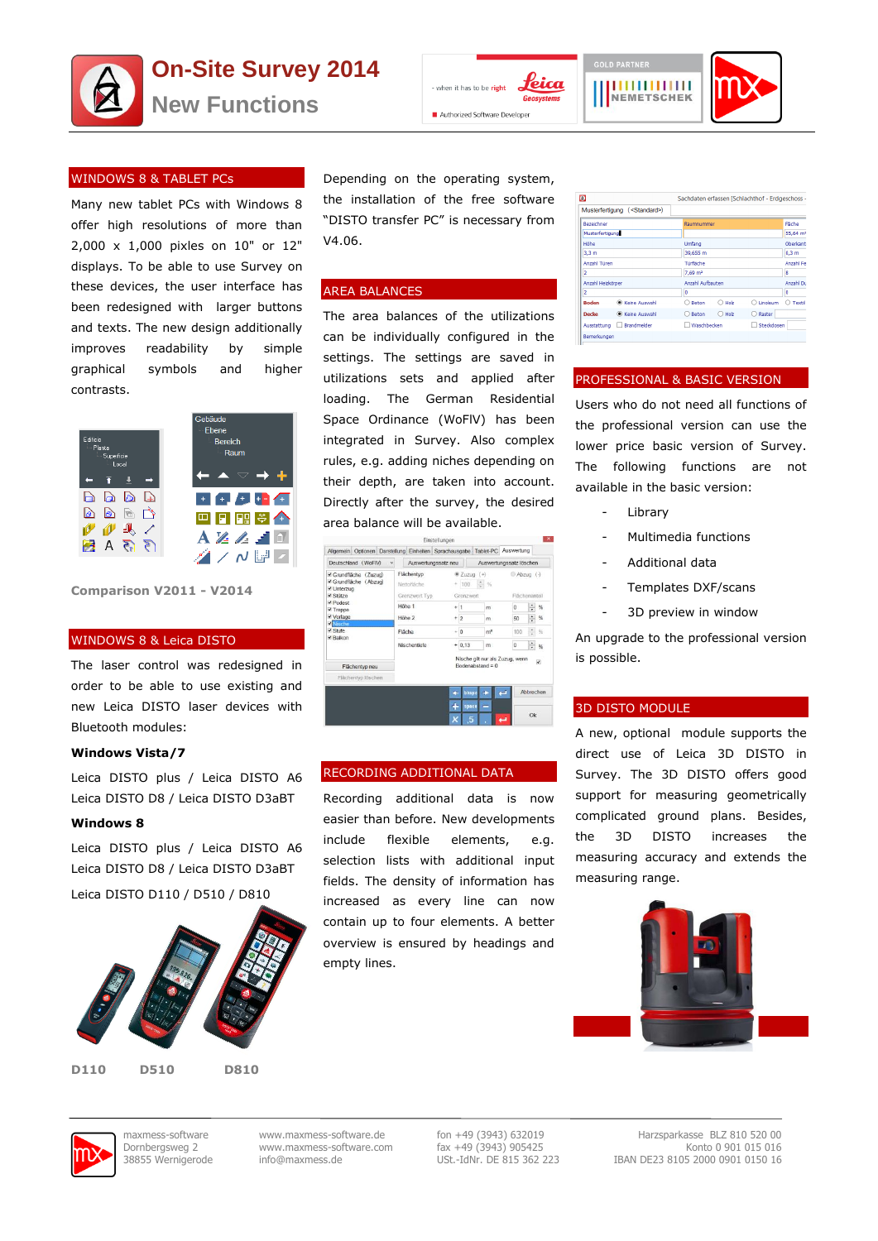



Depending on the operating system, the installation of the free software "DISTO transfer PC" is necessary from

The area balances of the utilizations can be individually configured in the settings. The settings are saved in utilizations sets and applied after loading. The German Residential Space Ordinance (WoFlV) has been integrated in Survey. Also complex rules, e.g. adding niches depending on their depth, are taken into account. Directly after the survey, the desired

area balance will be available.

Auswe

Grenzwert Ty

Flächenter

Höhe 1

Höhe 2

Fläche

ein Optionen Darstellung Einheiten Sprach

Deutschland (WoFIV) v

i<br>E Grundfläche (Zuzug)<br>E Grundfläche (Abzug)

Flächentyp neu

i¥ Unterzug<br>≷ Stütze

tufe

ahe Tahlet-PC Ausy

 $m<sup>2</sup>$  $\overline{10}$ 

Nische gilt nur als Zuzug, wenn

 $8.20$ 

 $+ 100$  $\overline{|\mathbf{e}|}$  %

 $+1$  $\overline{m}$  $\overline{0}$  $\frac{1}{50}$ 

 $+12$  $\overline{m}$ 

ہ ا  $+ 0.13$  $\overline{m}$  $\overline{a}$  $\left|\frac{1}{n}\right|$  %

 $\overline{4}$ 

z neu Auswertungssatz löschen

Abzug (-)

 $\frac{1}{2}$  %

Abbrechen

 $_{0k}$ 

RECORDING ADDITIONAL DATA

Recording additional data is now easier than before. New developments include flexible elements, e.g. selection lists with additional input fields. The density of information has increased as every line can now contain up to four elements. A better overview is ensured by headings and

V4.06.

AREA BALANCES

рийнин NEMETSCHEK



# WINDOWS 8 & TABLET PCs

Many new tablet PCs with Windows 8 offer high resolutions of more than 2,000 x 1,000 pixles on 10" or 12" displays. To be able to use Survey on these devices, the user interface has been redesigned with larger buttons and texts. The new design additionally improves readability by simple graphical symbols and higher contrasts.



**Comparison V2011 - V2014**

### WINDOWS 8 & Leica DISTO

The laser control was redesigned in order to be able to use existing and new Leica DISTO laser devices with Bluetooth modules:

# **Windows Vista/7**

Leica DISTO plus / Leica DISTO A6 Leica DISTO D8 / Leica DISTO D3aBT

### **Windows 8**

Leica DISTO plus / Leica DISTO A6 Leica DISTO D8 / Leica DISTO D3aBT

Leica DISTO D110 / D510 / D810



**D110 D510 D810**

empty lines.

| ω                      |                                          |   |                     |          | - Sachdaten erfassen (Schlachthof - Erdgeschoss |                                  |
|------------------------|------------------------------------------|---|---------------------|----------|-------------------------------------------------|----------------------------------|
|                        | Musterfertigung ( <standard>)</standard> |   |                     |          |                                                 |                                  |
| Bezeichner             |                                          |   | Raumnummer          |          |                                                 | Fläche                           |
| <b>Musterfertigung</b> |                                          |   |                     |          |                                                 | 55.64 m <sup>2</sup>             |
| Höhe                   |                                          |   | Umfano              |          |                                                 | Oberkant                         |
| 3.3 <sub>m</sub>       |                                          |   | 39,655 m            |          |                                                 | 0.3 <sub>m</sub>                 |
| Anzahl Türen           |                                          |   | Türfläche           |          |                                                 | Anzahl Fe                        |
| 2                      |                                          |   | 7,69 m <sup>2</sup> |          |                                                 | 8                                |
| Anzahl Heizkörper      |                                          |   | Anzahl Aufbauten    |          |                                                 | Anzahl Du                        |
| $\overline{2}$         |                                          | 0 |                     |          |                                                 | 0                                |
| <b>Boden</b>           | C Keine Auswahl                          |   | Beton<br>∍          | O Holz   | ○ Linoleum                                      | Textil<br>$\left( \quad \right)$ |
| Decke                  | C Keine Auswahl                          |   | Reton<br>$\cap$     | $O$ Holz | Raster<br>$\bigcap$                             |                                  |
| Ausstattung            | Brandmelder                              |   | Waschbecken         |          | Steckdosen                                      |                                  |
| Remerkungen            |                                          |   |                     |          |                                                 |                                  |

# PROFESSIONAL & BASIC VERSION

Users who do not need all functions of the professional version can use the lower price basic version of Survey. The following functions are not available in the basic version:

- **Library**
- Multimedia functions
- Additional data
- Templates DXF/scans
- 3D preview in window

An upgrade to the professional version is possible.

#### 3D DISTO MODULE

A new, optional module supports the direct use of Leica 3D DISTO in Survey. The 3D DISTO offers good support for measuring geometrically complicated ground plans. Besides, the 3D DISTO increases the measuring accuracy and extends the measuring range.



maxmess-software www.maxmess-software.de fon +49 (3943) 632019 Harzsparkasse BLZ 810 520 00 Dornbergsweg 2 www.maxmess-software.com fax +49 (3943) 905425 Konto 0 901 015 016 38855 Wernigerode info@maxmess.de USt.-IdNr. DE 815 362 223 IBAN DE23 8105 2000 0901 0150 16